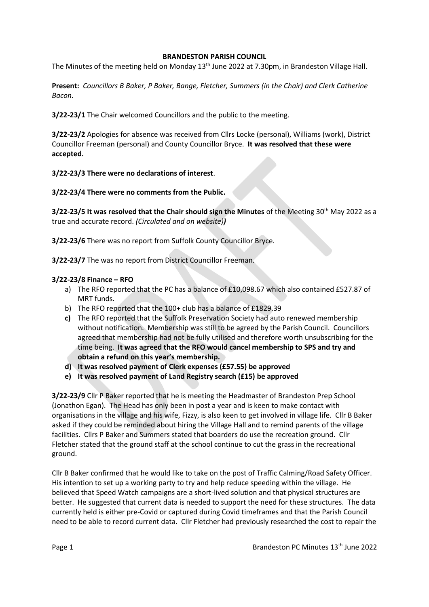### **BRANDESTON PARISH COUNCIL**

The Minutes of the meeting held on Monday 13<sup>th</sup> June 2022 at 7.30pm, in Brandeston Village Hall.

**Present:** *Councillors B Baker, P Baker, Bange, Fletcher, Summers (in the Chair) and Clerk Catherine Bacon.*

**3/22-23/1** The Chair welcomed Councillors and the public to the meeting.

**3/22-23/2** Apologies for absence was received from Cllrs Locke (personal), Williams (work), District Councillor Freeman (personal) and County Councillor Bryce. **It was resolved that these were accepted.**

# **3/22-23/3 There were no declarations of interest**.

**3/22-23/4 There were no comments from the Public.**

**3/22-23/5 It was resolved that the Chair should sign the Minutes** of the Meeting 30<sup>th</sup> May 2022 as a true and accurate record. *(Circulated and on website))*

**3/22-23/6** There was no report from Suffolk County Councillor Bryce.

**3/22-23/7** The was no report from District Councillor Freeman.

### **3/22-23/8 Finance – RFO**

- a) The RFO reported that the PC has a balance of £10,098.67 which also contained £527.87 of MRT funds.
- b) The RFO reported that the 100+ club has a balance of £1829.39
- **c)** The RFO reported that the Suffolk Preservation Society had auto renewed membership without notification. Membership was still to be agreed by the Parish Council. Councillors agreed that membership had not be fully utilised and therefore worth unsubscribing for the time being. **It was agreed that the RFO would cancel membership to SPS and try and obtain a refund on this year's membership.**
- **d) It was resolved payment of Clerk expenses (£57.55) be approved**
- **e) It was resolved payment of Land Registry search (£15) be approved**

**3/22-23/9** Cllr P Baker reported that he is meeting the Headmaster of Brandeston Prep School (Jonathon Egan). The Head has only been in post a year and is keen to make contact with organisations in the village and his wife, Fizzy, is also keen to get involved in village life. Cllr B Baker asked if they could be reminded about hiring the Village Hall and to remind parents of the village facilities. Cllrs P Baker and Summers stated that boarders do use the recreation ground. Cllr Fletcher stated that the ground staff at the school continue to cut the grass in the recreational ground.

Cllr B Baker confirmed that he would like to take on the post of Traffic Calming/Road Safety Officer. His intention to set up a working party to try and help reduce speeding within the village. He believed that Speed Watch campaigns are a short-lived solution and that physical structures are better. He suggested that current data is needed to support the need for these structures. The data currently held is either pre-Covid or captured during Covid timeframes and that the Parish Council need to be able to record current data. Cllr Fletcher had previously researched the cost to repair the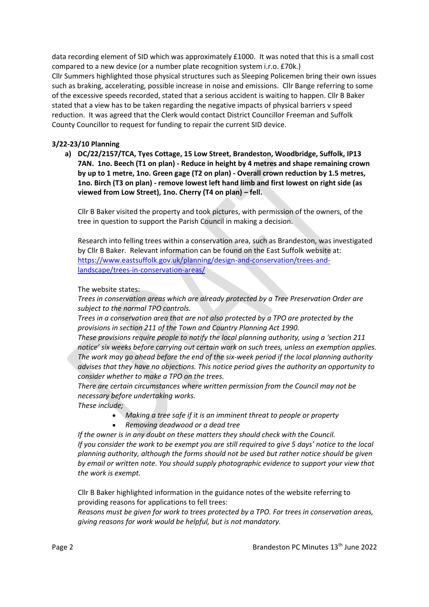data recording element of SID which was approximately £1000. It was noted that this is a small cost compared to a new device (or a number plate recognition system i.r.o. £70k.) Cllr Summers highlighted those physical structures such as Sleeping Policemen bring their own issues such as braking, accelerating, possible increase in noise and emissions. Cllr Bange referring to some of the excessive speeds recorded, stated that a serious accident is waiting to happen. Cllr B Baker stated that a view has to be taken regarding the negative impacts of physical barriers v speed reduction. It was agreed that the Clerk would contact District Councillor Freeman and Suffolk County Councillor to request for funding to repair the current SID device.

# **3/22-23/10 Planning**

**a) DC/22/2157/TCA, Tyes Cottage, 15 Low Street, Brandeston, Woodbridge, Suffolk, IP13 7AN. 1no. Beech (T1 on plan) - Reduce in height by 4 metres and shape remaining crown by up to 1 metre, 1no. Green gage (T2 on plan) - Overall crown reduction by 1.5 metres, 1no. Birch (T3 on plan) - remove lowest left hand limb and first lowest on right side (as viewed from Low Street), 1no. Cherry (T4 on plan) – fell.** 

Cllr B Baker visited the property and took pictures, with permission of the owners, of the tree in question to support the Parish Council in making a decision.

Research into felling trees within a conservation area, such as Brandeston, was investigated by Cllr B Baker. Relevant information can be found on the East Suffolk website at: [https://www.eastsuffolk.gov.uk/planning/design-and-conservation/trees-and](https://www.eastsuffolk.gov.uk/planning/design-and-conservation/trees-and-landscape/trees-in-conservation-areas/)[landscape/trees-in-conservation-areas/](https://www.eastsuffolk.gov.uk/planning/design-and-conservation/trees-and-landscape/trees-in-conservation-areas/)

The website states:

*Trees in conservation areas which are already protected by a Tree Preservation Order are subject to the normal TPO controls.*

*Trees in a conservation area that are not also protected by a TPO are protected by the provisions in section 211 of the Town and Country Planning Act 1990.*

*These provisions require people to notify the local planning authority, using a 'section 211 notice' six weeks before carrying out certain work on such trees, unless an exemption applies. The work may go ahead before the end of the six-week period if the local planning authority advises that they have no objections. This notice period gives the authority an opportunity to consider whether to make a TPO on the trees.*

*There are certain circumstances where written permission from the Council may not be necessary before undertaking works.*

#### *These include;*

- *Making a tree safe if it is an imminent threat to people or property*
- *Removing deadwood or a dead tree*

*If the owner is in any doubt on these matters they should check with the Council. If you consider the work to be exempt you are still required to give 5 days' notice to the local planning authority, although the forms should not be used but rather notice should be given by email or written note. You should supply photographic evidence to support your view that the work is exempt.*

Cllr B Baker highlighted information in the guidance notes of the website referring to providing reasons for applications to fell trees:

*Reasons must be given for work to trees protected by a TPO. For trees in conservation areas, giving reasons for work would be helpful, but is not mandatory.*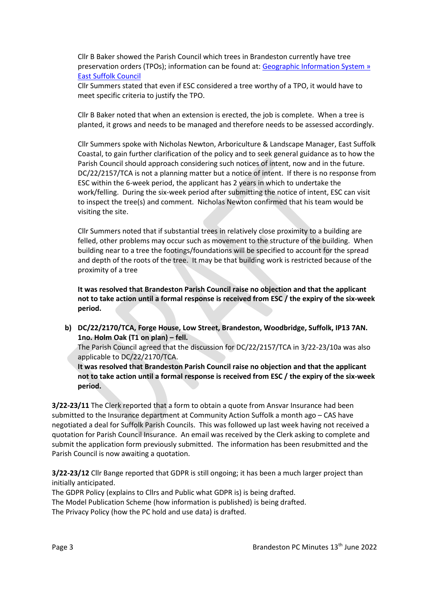Cllr B Baker showed the Parish Council which trees in Brandeston currently have tree preservation orders (TPOs); information can be found at: Geographic Information System » [East Suffolk Council](https://www.eastsuffolk.gov.uk/planning/geographic-information-system/)

Cllr Summers stated that even if ESC considered a tree worthy of a TPO, it would have to meet specific criteria to justify the TPO.

Cllr B Baker noted that when an extension is erected, the job is complete. When a tree is planted, it grows and needs to be managed and therefore needs to be assessed accordingly.

Cllr Summers spoke with Nicholas Newton, Arboriculture & Landscape Manager, East Suffolk Coastal, to gain further clarification of the policy and to seek general guidance as to how the Parish Council should approach considering such notices of intent, now and in the future. DC/22/2157/TCA is not a planning matter but a notice of intent. If there is no response from ESC within the 6-week period, the applicant has 2 years in which to undertake the work/felling. During the six-week period after submitting the notice of intent, ESC can visit to inspect the tree(s) and comment. Nicholas Newton confirmed that his team would be visiting the site.

Cllr Summers noted that if substantial trees in relatively close proximity to a building are felled, other problems may occur such as movement to the structure of the building. When building near to a tree the footings/foundations will be specified to account for the spread and depth of the roots of the tree. It may be that building work is restricted because of the proximity of a tree

**It was resolved that Brandeston Parish Council raise no objection and that the applicant not to take action until a formal response is received from ESC / the expiry of the six-week period.**

**b) DC/22/2170/TCA, Forge House, Low Street, Brandeston, Woodbridge, Suffolk, IP13 7AN. 1no. Holm Oak (T1 on plan) – fell.** 

The Parish Council agreed that the discussion for DC/22/2157/TCA in 3/22-23/10a was also applicable to DC/22/2170/TCA.

**It was resolved that Brandeston Parish Council raise no objection and that the applicant not to take action until a formal response is received from ESC / the expiry of the six-week period.**

**3/22-23/11** The Clerk reported that a form to obtain a quote from Ansvar Insurance had been submitted to the Insurance department at Community Action Suffolk a month ago – CAS have negotiated a deal for Suffolk Parish Councils. This was followed up last week having not received a quotation for Parish Council Insurance. An email was received by the Clerk asking to complete and submit the application form previously submitted. The information has been resubmitted and the Parish Council is now awaiting a quotation.

**3/22-23/12** Cllr Bange reported that GDPR is still ongoing; it has been a much larger project than initially anticipated.

The GDPR Policy (explains to Cllrs and Public what GDPR is) is being drafted. The Model Publication Scheme (how information is published) is being drafted. The Privacy Policy (how the PC hold and use data) is drafted.